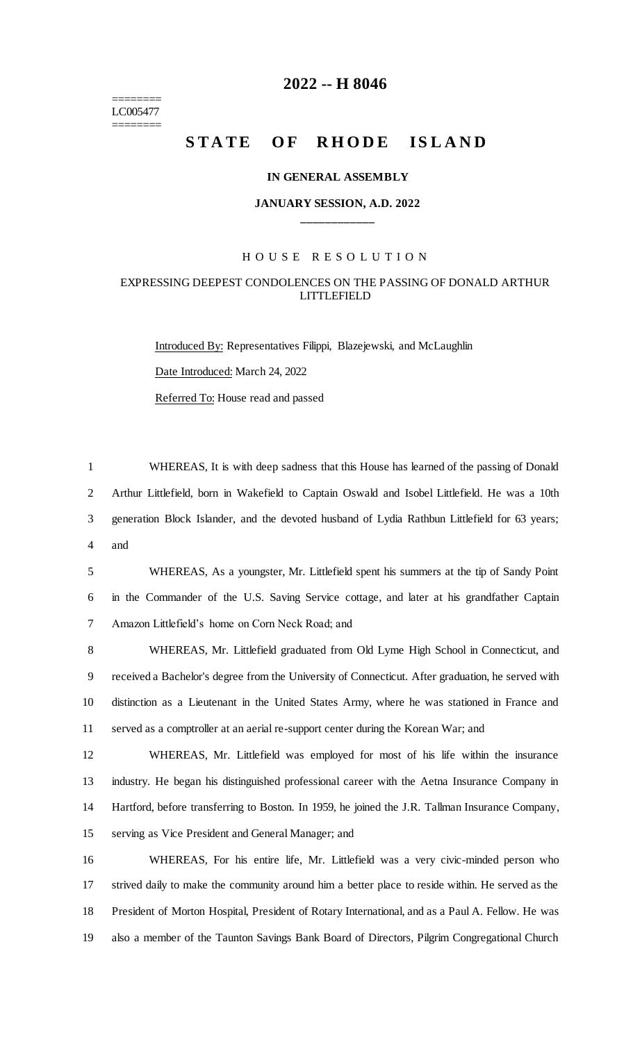======== LC005477 ========

# **-- H 8046**

# **STATE OF RHODE ISLAND**

#### **IN GENERAL ASSEMBLY**

## **JANUARY SESSION, A.D. 2022 \_\_\_\_\_\_\_\_\_\_\_\_**

#### H O U S E R E S O L U T I O N

## EXPRESSING DEEPEST CONDOLENCES ON THE PASSING OF DONALD ARTHUR LITTLEFIELD

Introduced By: Representatives Filippi, Blazejewski, and McLaughlin Date Introduced: March 24, 2022 Referred To: House read and passed

 WHEREAS, It is with deep sadness that this House has learned of the passing of Donald Arthur Littlefield, born in Wakefield to Captain Oswald and Isobel Littlefield. He was a 10th generation Block Islander, and the devoted husband of Lydia Rathbun Littlefield for 63 years; and

 WHEREAS, As a youngster, Mr. Littlefield spent his summers at the tip of Sandy Point in the Commander of the U.S. Saving Service cottage, and later at his grandfather Captain Amazon Littlefield's home on Corn Neck Road; and

 WHEREAS, Mr. Littlefield graduated from Old Lyme High School in Connecticut, and received a Bachelor's degree from the University of Connecticut. After graduation, he served with distinction as a Lieutenant in the United States Army, where he was stationed in France and served as a comptroller at an aerial re-support center during the Korean War; and

 WHEREAS, Mr. Littlefield was employed for most of his life within the insurance industry. He began his distinguished professional career with the Aetna Insurance Company in Hartford, before transferring to Boston. In 1959, he joined the J.R. Tallman Insurance Company, serving as Vice President and General Manager; and

 WHEREAS, For his entire life, Mr. Littlefield was a very civic-minded person who strived daily to make the community around him a better place to reside within. He served as the President of Morton Hospital, President of Rotary International, and as a Paul A. Fellow. He was also a member of the Taunton Savings Bank Board of Directors, Pilgrim Congregational Church